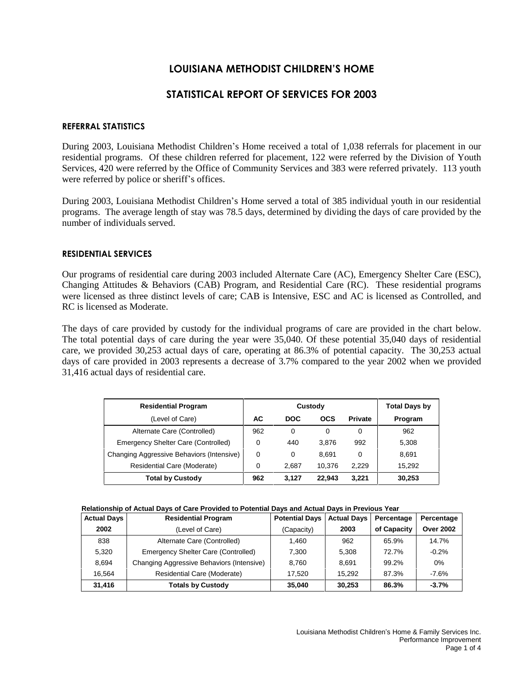# **LOUISIANA METHODIST CHILDRENíS HOME**

# **STATISTICAL REPORT OF SERVICES FOR 2003**

## **REFERRAL STATISTICS**

During 2003, Louisiana Methodist Children's Home received a total of 1,038 referrals for placement in our residential programs. Of these children referred for placement, 122 were referred by the Division of Youth Services, 420 were referred by the Office of Community Services and 383 were referred privately. 113 youth were referred by police or sheriff's offices.

During 2003, Louisiana Methodist Children's Home served a total of 385 individual youth in our residential programs. The average length of stay was 78.5 days, determined by dividing the days of care provided by the number of individuals served.

### **RESIDENTIAL SERVICES**

Our programs of residential care during 2003 included Alternate Care (AC), Emergency Shelter Care (ESC), Changing Attitudes & Behaviors (CAB) Program, and Residential Care (RC). These residential programs were licensed as three distinct levels of care; CAB is Intensive, ESC and AC is licensed as Controlled, and RC is licensed as Moderate.

The days of care provided by custody for the individual programs of care are provided in the chart below. The total potential days of care during the year were 35,040. Of these potential 35,040 days of residential care, we provided 30,253 actual days of care, operating at 86.3% of potential capacity. The 30,253 actual days of care provided in 2003 represents a decrease of 3.7% compared to the year 2002 when we provided 31,416 actual days of residential care.

| <b>Residential Program</b>                |          | Custody    | <b>Total Days by</b> |                |         |
|-------------------------------------------|----------|------------|----------------------|----------------|---------|
| (Level of Care)                           | АC       | <b>DOC</b> | <b>OCS</b>           | <b>Private</b> | Program |
| Alternate Care (Controlled)               | 962      | 0          | 0                    |                | 962     |
| Emergency Shelter Care (Controlled)       | $\Omega$ | 440        | 3.876                | 992            | 5,308   |
| Changing Aggressive Behaviors (Intensive) | 0        | 0          | 8.691                | 0              | 8.691   |
| Residential Care (Moderate)               | 0        | 2.687      | 10.376               | 2.229          | 15,292  |
| <b>Total by Custody</b>                   | 962      | 3.127      | 22.943               | 3.221          | 30,253  |

|  | Relationship of Actual Days of Care Provided to Potential Days and Actual Days in Previous Year |  |  |
|--|-------------------------------------------------------------------------------------------------|--|--|
|  |                                                                                                 |  |  |

| <b>Actual Days</b> | <b>Residential Program</b>                | <b>Potential Days</b> | <b>Actual Days</b> | Percentage  | Percentage       |
|--------------------|-------------------------------------------|-----------------------|--------------------|-------------|------------------|
| 2002               | (Level of Care)                           | (Capacity)            | 2003               | of Capacity | <b>Over 2002</b> |
| 838                | Alternate Care (Controlled)               | 1.460                 | 962                | 65.9%       | 14.7%            |
| 5.320              | Emergency Shelter Care (Controlled)       | 7.300                 | 5.308              | 72.7%       | $-0.2%$          |
| 8.694              | Changing Aggressive Behaviors (Intensive) | 8.760                 | 8.691              | 99.2%       | 0%               |
| 16.564             | Residential Care (Moderate)               | 17.520                | 15.292             | 87.3%       | $-7.6\%$         |
| 31,416             | <b>Totals by Custody</b>                  | 35,040                | 30,253             | 86.3%       | $-3.7%$          |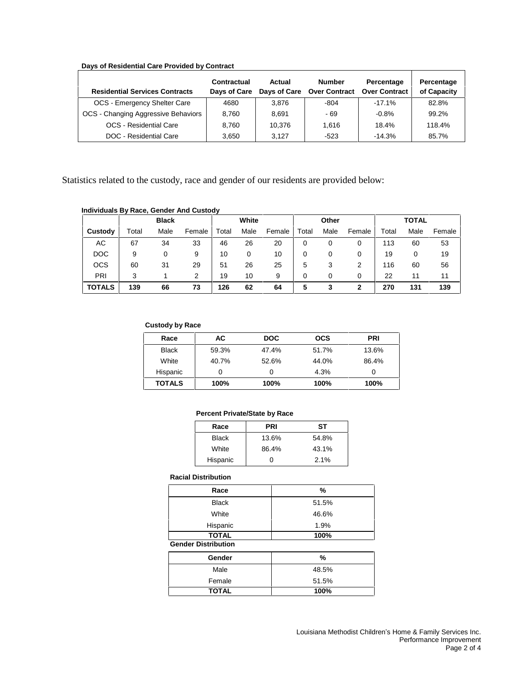### **Days of Residential Care Provided by Contract**

| <b>Residential Services Contracts</b> | Contractual<br>Days of Care | Actual | <b>Number</b><br>Days of Care Over Contract | Percentage<br><b>Over Contract</b> | Percentage<br>of Capacity |
|---------------------------------------|-----------------------------|--------|---------------------------------------------|------------------------------------|---------------------------|
| OCS - Emergency Shelter Care          | 4680                        | 3,876  | $-804$                                      | $-17.1\%$                          | 82.8%                     |
| OCS - Changing Aggressive Behaviors   | 8.760                       | 8.691  | - 69                                        | $-0.8%$                            | 99.2%                     |
| OCS - Residential Care                | 8.760                       | 10.376 | 1.616                                       | 18.4%                              | 118.4%                    |
| DOC - Residential Care                | 3.650                       | 3.127  | $-523$                                      | $-14.3%$                           | 85.7%                     |

Statistics related to the custody, race and gender of our residents are provided below:

### **Individuals By Race, Gender And Custody**

|               | <b>Black</b> |      |        |       | White |        | Other |      | <b>TOTAL</b> |       |      |        |
|---------------|--------------|------|--------|-------|-------|--------|-------|------|--------------|-------|------|--------|
| Custody       | ⊺otal        | Male | Female | Total | Male  | Female | Total | Male | Female       | Total | Male | Female |
| AC            | 67           | 34   | 33     | 46    | 26    | 20     | 0     | 0    | 0            | 113   | 60   | 53     |
| <b>DOC</b>    | 9            |      | 9      | 10    | 0     | 10     | 0     | 0    | 0            | 19    | 0    | 19     |
| <b>OCS</b>    | 60           | 31   | 29     | 51    | 26    | 25     | 5     | 3    | 2            | 116   | 60   | 56     |
| PRI           | 3            |      | 2      | 19    | 10    | 9      | 0     | 0    | 0            | 22    | 11   | 11     |
| <b>TOTALS</b> | 139          | 66   | 73     | 126   | 62    | 64     | 5     | 3    | 2            | 270   | 131  | 139    |

#### **Custody by Race**

| Race          | АC    | <b>DOC</b> | <b>OCS</b> | <b>PRI</b> |
|---------------|-------|------------|------------|------------|
| <b>Black</b>  | 59.3% | 47.4%      | 51.7%      | 13.6%      |
| White         | 40.7% | 52.6%      | 44.0%      | 86.4%      |
| Hispanic      |       | O          | 4.3%       |            |
| <b>TOTALS</b> | 100%  | 100%       | 100%       | 100%       |

#### **Percent Private/State by Race**

| Race         | <b>PRI</b> | SТ    |
|--------------|------------|-------|
| <b>Black</b> | 13.6%      | 54.8% |
| White        | 86.4%      | 43.1% |
| Hispanic     |            | 2.1%  |

#### **Racial Distribution**

| Race                       | %     |
|----------------------------|-------|
| <b>Black</b>               | 51.5% |
| White                      | 46.6% |
| Hispanic                   | 1.9%  |
| TOTAL                      | 100%  |
| <b>Gender Distribution</b> |       |

| Gender       | %     |
|--------------|-------|
| Male         | 48.5% |
| Female       | 51.5% |
| <b>TOTAL</b> | 100%  |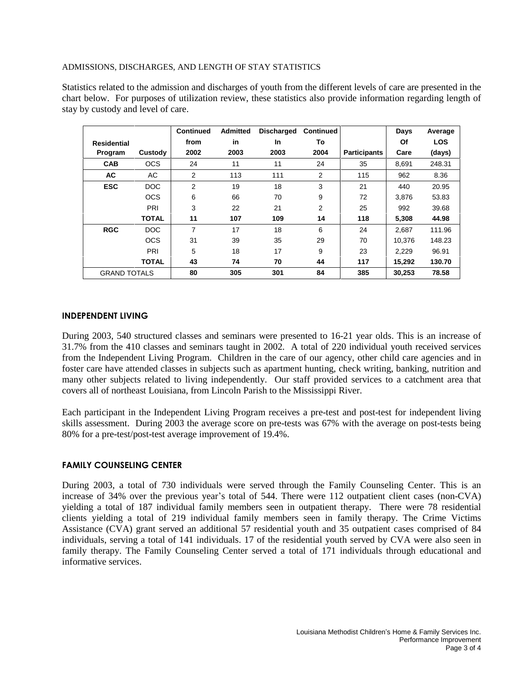### ADMISSIONS, DISCHARGES, AND LENGTH OF STAY STATISTICS

Statistics related to the admission and discharges of youth from the different levels of care are presented in the chart below. For purposes of utilization review, these statistics also provide information regarding length of stay by custody and level of care.

|                     |              | <b>Continued</b> | <b>Admitted</b> | <b>Discharged</b> | <b>Continued</b> |                     | Days   | Average    |
|---------------------|--------------|------------------|-----------------|-------------------|------------------|---------------------|--------|------------|
| <b>Residential</b>  |              | from             | in              | <b>In</b>         | To               |                     | Of     | <b>LOS</b> |
| Program             | Custody      | 2002             | 2003            | 2003              | 2004             | <b>Participants</b> | Care   | (days)     |
| <b>CAB</b>          | <b>OCS</b>   | 24               | 11              | 11                | 24               | 35                  | 8,691  | 248.31     |
| <b>AC</b>           | AC           | 2                | 113             | 111               | 2                | 115                 | 962    | 8.36       |
| <b>ESC</b>          | <b>DOC</b>   | 2                | 19              | 18                | 3                | 21                  | 440    | 20.95      |
|                     | <b>OCS</b>   | 6                | 66              | 70                | 9                | 72                  | 3.876  | 53.83      |
|                     | PRI          | 3                | 22              | 21                | 2                | 25                  | 992    | 39.68      |
|                     | <b>TOTAL</b> | 11               | 107             | 109               | 14               | 118                 | 5,308  | 44.98      |
| <b>RGC</b>          | DOC          | $\overline{7}$   | 17              | 18                | 6                | 24                  | 2.687  | 111.96     |
|                     | <b>OCS</b>   | 31               | 39              | 35                | 29               | 70                  | 10.376 | 148.23     |
|                     | PRI          | 5                | 18              | 17                | 9                | 23                  | 2,229  | 96.91      |
|                     | <b>TOTAL</b> | 43               | 74              | 70                | 44               | 117                 | 15,292 | 130.70     |
| <b>GRAND TOTALS</b> |              | 80               | 305             | 301               | 84               | 385                 | 30,253 | 78.58      |

### **INDEPENDENT LIVING**

During 2003, 540 structured classes and seminars were presented to 16-21 year olds. This is an increase of 31.7% from the 410 classes and seminars taught in 2002. A total of 220 individual youth received services from the Independent Living Program. Children in the care of our agency, other child care agencies and in foster care have attended classes in subjects such as apartment hunting, check writing, banking, nutrition and many other subjects related to living independently. Our staff provided services to a catchment area that covers all of northeast Louisiana, from Lincoln Parish to the Mississippi River.

Each participant in the Independent Living Program receives a pre-test and post-test for independent living skills assessment. During 2003 the average score on pre-tests was 67% with the average on post-tests being 80% for a pre-test/post-test average improvement of 19.4%.

## **FAMILY COUNSELING CENTER**

During 2003, a total of 730 individuals were served through the Family Counseling Center. This is an increase of 34% over the previous year's total of 544. There were 112 outpatient client cases (non-CVA) yielding a total of 187 individual family members seen in outpatient therapy. There were 78 residential clients yielding a total of 219 individual family members seen in family therapy. The Crime Victims Assistance (CVA) grant served an additional 57 residential youth and 35 outpatient cases comprised of 84 individuals, serving a total of 141 individuals. 17 of the residential youth served by CVA were also seen in family therapy. The Family Counseling Center served a total of 171 individuals through educational and informative services.